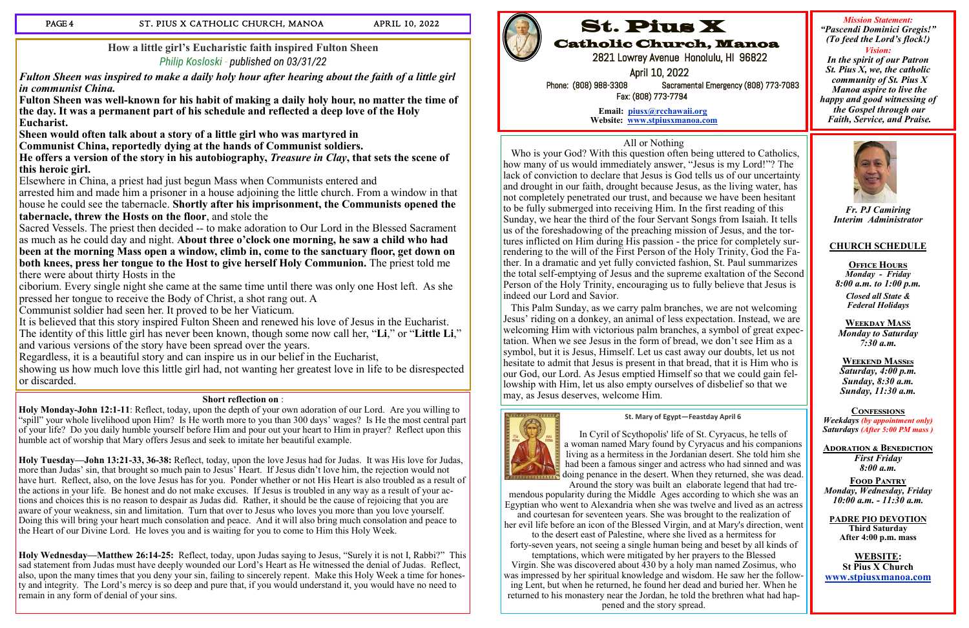## **How a little girl's Eucharistic faith inspired Fulton Sheen** *[Philip Kosloski](https://aleteia.org/author/philip-kosloski/) - published on 03/31/22*

*Fulton Sheen was inspired to make a daily holy hour after hearing about the faith of a little girl in communist China.*

**Fulton Sheen was well-known for his habit of making a daily holy hour, no matter the time of the day. It was a permanent part of his schedule and reflected a deep love of the Holy Eucharist.**

**Sheen would often talk about a story of a little girl who was martyred in** 

**Communist China, reportedly dying at the hands of Communist soldiers.**

**He offers a version of the story in his autobiography,** *Treasure in Clay***, that sets the scene of this heroic girl.**

Sacred Vessels. The priest then decided -- to make adoration to Our Lord in the Blessed Sacrament as much as he could day and night. **About three o'clock one morning, he saw a child who had been at the morning Mass open a window, climb in, come to the sanctuary floor, get down on both knees, press her tongue to the Host to give herself Holy Communion.** The priest told me there were about thirty Hosts in the

Elsewhere in China, a priest had just begun Mass when Communists entered and

arrested him and made him a prisoner in a house adjoining the little church. From a window in that house he could see the tabernacle. **Shortly after his imprisonment, the Communists opened the tabernacle, threw the Hosts on the floor**, and stole the

ciborium. Every single night she came at the same time until there was only one Host left. As she pressed her tongue to receive the Body of Christ, a shot rang out. A

Communist soldier had seen her. It proved to be her Viaticum.

It is believed that this story inspired Fulton Sheen and renewed his love of Jesus in the Eucharist. The identity of this little girl has never been known, though some now call her, "**Li**," or "**Little Li**," and various versions of the story have been spread over the years.

Regardless, it is a beautiful story and can inspire us in our belief in the Eucharist,

**OFFICE HOURS** *Monday - Friday 8:00 a.m. to 1:00 p.m.*

showing us how much love this little girl had, not wanting her greatest love in life to be disrespected or discarded.

### **Short reflection on** :

**Holy Monday-John 12:1-11**: Reflect, today, upon the depth of your own adoration of our Lord. Are you willing to "spill" your whole livelihood upon Him? Is He worth more to you than 300 days' wages? Is He the most central part of your life? Do you daily humble yourself before Him and pour out your heart to Him in prayer? Reflect upon this humble act of worship that Mary offers Jesus and seek to imitate her beautiful example.

**Holy Tuesday—John 13:21-33, 36-38:** Reflect, today, upon the love Jesus had for Judas. It was His love for Judas, more than Judas' sin, that brought so much pain to Jesus' Heart. If Jesus didn't love him, the rejection would not have hurt. Reflect, also, on the love Jesus has for you. Ponder whether or not His Heart is also troubled as a result of the actions in your life. Be honest and do not make excuses. If Jesus is troubled in any way as a result of your actions and choices this is no reason to despair as Judas did. Rather, it should be the cause of rejoicing that you are aware of your weakness, sin and limitation. Turn that over to Jesus who loves you more than you love yourself. Doing this will bring your heart much consolation and peace. And it will also bring much consolation and peace to the Heart of our Divine Lord. He loves you and is waiting for you to come to Him this Holy Week.

**Holy Wednesday—Matthew 26:14-25:** Reflect, today, upon Judas saying to Jesus, "Surely it is not I, Rabbi?" This sad statement from Judas must have deeply wounded our Lord's Heart as He witnessed the denial of Judas. Reflect, also, upon the many times that you deny your sin, failing to sincerely repent. Make this Holy Week a time for honesty and integrity. The Lord's mercy is so deep and pure that, if you would understand it, you would have no need to remain in any form of denial of your sins.



*Fr. PJ Camiring Interim Administrator*

### **CHURCH SCHEDULE**

*Closed all State & Federal Holidays* 

**Weekday MASS** *Monday to Saturday 7:30 a.m.*

**Weekend Masses** *Saturday, 4:00 p.m. Sunday, 8:30 a.m. Sunday, 11:30 a.m.* 

**Confessions** *Weekdays (by appointment only) Saturdays (After 5:00 PM mass )*

**Adoration & Benediction** *First Friday 8:00 a.m.*

**Food Pantry** *Monday, Wednesday, Friday 10:00 a.m. - 11:30 a.m.*

**PADRE PIO DEVOTION Third Saturday After 4:00 p.m. mass**

**WEBSITE: St Pius X Church www.stpiusxmanoa.com**

# St. Pius X

Catholic Church, Manoa

2821 Lowrey Avenue Honolulu, HI 96822

 April 10, 2022 Phone: (808) 988-3308 Sacramental Emergency (808) 773-7083 Fax: (808) 773-7794

> **Email: piusx@rcchawaii.org Website: www.stpiusxmanoa.com**

*Mission Statement: "Pascendi Dominici Gregis!" (To feed the Lord's flock!)*

*Vision: In the spirit of our Patron St. Pius X, we, the catholic community of St. Pius X Manoa aspire to live the happy and good witnessing of the Gospel through our Faith, Service, and Praise.* 



## All or Nothing

 Who is your God? With this question often being uttered to Catholics, how many of us would immediately answer, "Jesus is my Lord!"? The lack of conviction to declare that Jesus is God tells us of our uncertainty and drought in our faith, drought because Jesus, as the living water, has not completely penetrated our trust, and because we have been hesitant to be fully submerged into receiving Him. In the first reading of this Sunday, we hear the third of the four Servant Songs from Isaiah. It tells us of the foreshadowing of the preaching mission of Jesus, and the tortures inflicted on Him during His passion - the price for completely surrendering to the will of the First Person of the Holy Trinity, God the Father. In a dramatic and yet fully convicted fashion, St. Paul summarizes the total self-emptying of Jesus and the supreme exaltation of the Second Person of the Holy Trinity, encouraging us to fully believe that Jesus is indeed our Lord and Savior.

 This Palm Sunday, as we carry palm branches, we are not welcoming Jesus' riding on a donkey, an animal of less expectation. Instead, we are welcoming Him with victorious palm branches, a symbol of great expectation. When we see Jesus in the form of bread, we don't see Him as a symbol, but it is Jesus, Himself. Let us cast away our doubts, let us not hesitate to admit that Jesus is present in that bread, that it is Him who is our God, our Lord. As Jesus emptied Himself so that we could gain fellowship with Him, let us also empty ourselves of disbelief so that we may, as Jesus deserves, welcome Him.

### **St. Mary of Egypt—Feastday April 6**



In Cyril of Scythopolis' [life](https://www.catholic.org/encyclopedia/view.php?id=7101) of St. Cyryacus, he tells of a [woman](https://www.catholic.org/encyclopedia/view.php?id=12437) named [Mary](https://www.catholic.org/bookstore/?category=19) found by Cyryacus and his companions living as a hermitess in the Jordanian desert. She told him she had been a famous singer and actress who had sinned and was doing [penance](https://www.catholic.org/prayers/sacrament.php?id=4) in the desert. When they returned, she was dead. Around the story was built an elaborate legend that had tre-

mendous popularity during the [Middle Ages](https://www.catholic.org/encyclopedia/view.php?id=7970) according to which she was an Egyptian who went to [Alexandria](https://www.catholic.org/encyclopedia/view.php?id=465) when she was twelve and lived as an actress and courtesan for seventeen years. She was brought to the realization of her [evil](https://www.catholic.org/encyclopedia/view.php?id=4469) [life](https://www.catholic.org/encyclopedia/view.php?id=7101) before an icon of the Blessed Virgin, and at Mary's direction, went to the [desert](https://www.catholic.org/encyclopedia/view.php?id=3788) east of Palestine, where she lived as a hermitess for forty-seven years, not seeing a single human being and beset by all kinds of temptations, which were mitigated by her [prayers](https://www.catholic.org/prayers) to the Blessed Virgin. She was discovered about 430 by a holy [man](https://www.catholic.org/encyclopedia/view.php?id=7463) named Zosimus, who was impressed by her spiritual [knowledge](https://www.catholic.org/encyclopedia/view.php?id=6682) and wisdom. He saw her the following Lent, but when he returned, he found her dead and buried her. When he returned to his monastery near the Jordan, he told the brethren what had happened and the story spread.